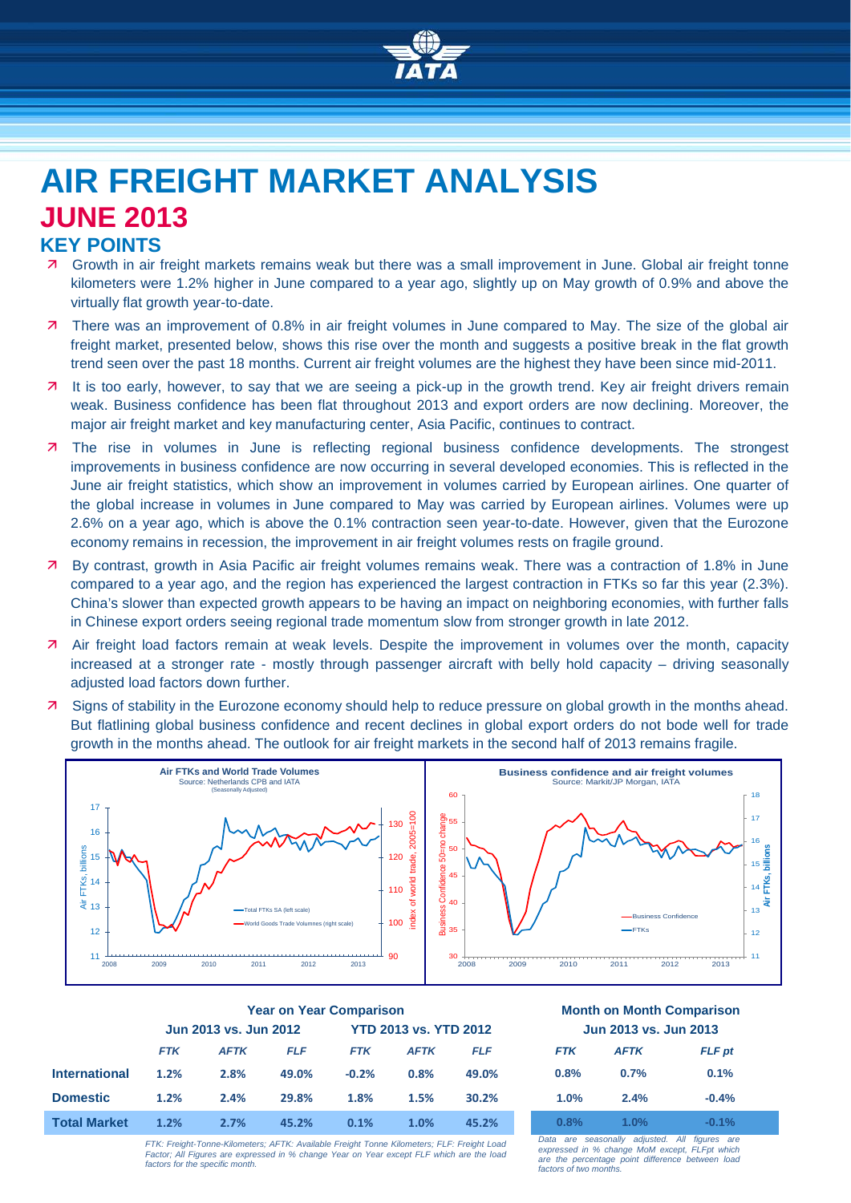

# **AIR FREIGHT MARKET ANALYSIS JUNE 2013**

## **KEY POINTS**

- Growth in air freight markets remains weak but there was a small improvement in June. Global air freight tonne kilometers were 1.2% higher in June compared to a year ago, slightly up on May growth of 0.9% and above the virtually flat growth year-to-date.
- **7** There was an improvement of 0.8% in air freight volumes in June compared to May. The size of the global air freight market, presented below, shows this rise over the month and suggests a positive break in the flat growth trend seen over the past 18 months. Current air freight volumes are the highest they have been since mid-2011.
- 7 It is too early, however, to say that we are seeing a pick-up in the growth trend. Key air freight drivers remain weak. Business confidence has been flat throughout 2013 and export orders are now declining. Moreover, the major air freight market and key manufacturing center, Asia Pacific, continues to contract.
- **7** The rise in volumes in June is reflecting regional business confidence developments. The strongest improvements in business confidence are now occurring in several developed economies. This is reflected in the June air freight statistics, which show an improvement in volumes carried by European airlines. One quarter of the global increase in volumes in June compared to May was carried by European airlines. Volumes were up 2.6% on a year ago, which is above the 0.1% contraction seen year-to-date. However, given that the Eurozone economy remains in recession, the improvement in air freight volumes rests on fragile ground.
- By contrast, growth in Asia Pacific air freight volumes remains weak. There was a contraction of 1.8% in June compared to a year ago, and the region has experienced the largest contraction in FTKs so far this year (2.3%). China's slower than expected growth appears to be having an impact on neighboring economies, with further falls in Chinese export orders seeing regional trade momentum slow from stronger growth in late 2012.
- **A** Air freight load factors remain at weak levels. Despite the improvement in volumes over the month, capacity increased at a stronger rate - mostly through passenger aircraft with belly hold capacity – driving seasonally adjusted load factors down further.
- **7** Signs of stability in the Eurozone economy should help to reduce pressure on global growth in the months ahead. But flatlining global business confidence and recent declines in global export orders do not bode well for trade growth in the months ahead. The outlook for air freight markets in the second half of 2013 remains fragile.



|                      | <b>Year on Year Comparison</b> |             |            |                              |             | <b>Month on Month Comparisor</b> |                       |             |               |
|----------------------|--------------------------------|-------------|------------|------------------------------|-------------|----------------------------------|-----------------------|-------------|---------------|
|                      | Jun 2013 vs. Jun 2012          |             |            | <b>YTD 2013 vs. YTD 2012</b> |             |                                  | Jun 2013 vs. Jun 2013 |             |               |
|                      | <b>FTK</b>                     | <b>AFTK</b> | <b>FLF</b> | <b>FTK</b>                   | <b>AFTK</b> | <b>FLF</b>                       | <b>FTK</b>            | <b>AFTK</b> | <b>FLF</b> pt |
| <b>International</b> | 1.2%                           | 2.8%        | 49.0%      | $-0.2%$                      | 0.8%        | 49.0%                            | 0.8%                  | 0.7%        | 0.1%          |
| <b>Domestic</b>      | 1.2%                           | 2.4%        | 29.8%      | 1.8%                         | 1.5%        | 30.2%                            | 1.0%                  | 2.4%        | $-0.4%$       |
| <b>Total Market</b>  | 1.2%                           | 2.7%        | 45.2%      | 0.1%                         | 1.0%        | 45.2%                            | 0.8%                  | $1.0\%$     | $-0.1%$       |

### **Year on Year Comparison Month on Month Comparison Jun 2013 vs. Jun 2012 YTD 2013 vs. YTD 2012 Jun 2013 vs. Jun 2013**

| <b>FTK</b> | <b>AFTK</b> | <b>FLF</b> pt |  |  |  |  |  |
|------------|-------------|---------------|--|--|--|--|--|
| 0.8%       | 0.7%        | 0.1%          |  |  |  |  |  |
| 1.0%       | 2.4%        | $-0.4%$       |  |  |  |  |  |
| 0.8%       | 1.0%        | $-0.1%$       |  |  |  |  |  |

*FTK: Freight-Tonne-Kilometers; AFTK: Available Freight Tonne Kilometers; FLF: Freight Load Factor; All Figures are expressed in % change Year on Year except FLF which are the load factors for the specific month.*

*Data are seasonally adjusted. All figures are expressed in % change MoM except, FLFpt which are the percentage point difference between load factors of two months.*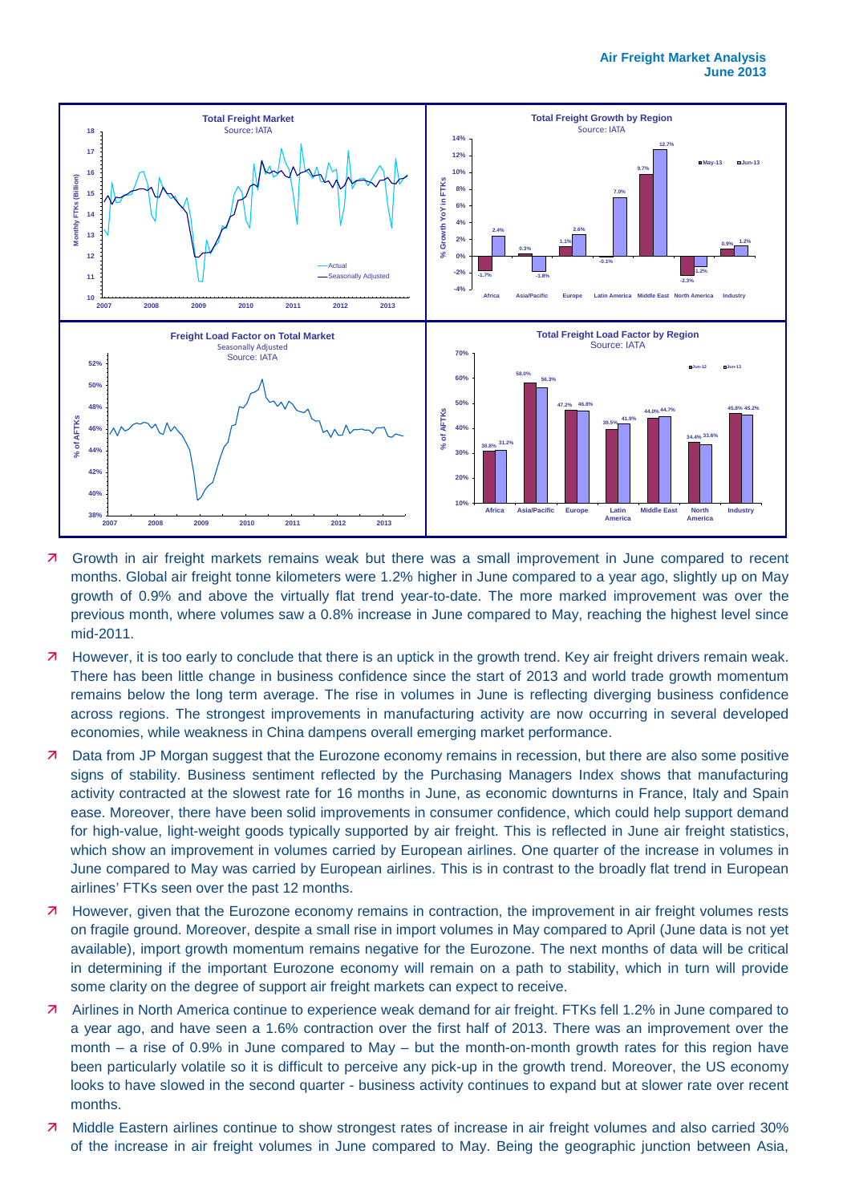

- Growth in air freight markets remains weak but there was a small improvement in June compared to recent months. Global air freight tonne kilometers were 1.2% higher in June compared to a year ago, slightly up on May growth of 0.9% and above the virtually flat trend year-to-date. The more marked improvement was over the previous month, where volumes saw a 0.8% increase in June compared to May, reaching the highest level since mid-2011.
- **7** However, it is too early to conclude that there is an uptick in the growth trend. Key air freight drivers remain weak. There has been little change in business confidence since the start of 2013 and world trade growth momentum remains below the long term average. The rise in volumes in June is reflecting diverging business confidence across regions. The strongest improvements in manufacturing activity are now occurring in several developed economies, while weakness in China dampens overall emerging market performance.
- **7** Data from JP Morgan suggest that the Eurozone economy remains in recession, but there are also some positive signs of stability. Business sentiment reflected by the Purchasing Managers Index shows that manufacturing activity contracted at the slowest rate for 16 months in June, as economic downturns in France, Italy and Spain ease. Moreover, there have been solid improvements in consumer confidence, which could help support demand for high-value, light-weight goods typically supported by air freight. This is reflected in June air freight statistics, which show an improvement in volumes carried by European airlines. One quarter of the increase in volumes in June compared to May was carried by European airlines. This is in contrast to the broadly flat trend in European airlines' FTKs seen over the past 12 months.
- **7** However, given that the Eurozone economy remains in contraction, the improvement in air freight volumes rests on fragile ground. Moreover, despite a small rise in import volumes in May compared to April (June data is not yet available), import growth momentum remains negative for the Eurozone. The next months of data will be critical in determining if the important Eurozone economy will remain on a path to stability, which in turn will provide some clarity on the degree of support air freight markets can expect to receive.
- Airlines in North America continue to experience weak demand for air freight. FTKs fell 1.2% in June compared to a year ago, and have seen a 1.6% contraction over the first half of 2013. There was an improvement over the month – a rise of 0.9% in June compared to May – but the month-on-month growth rates for this region have been particularly volatile so it is difficult to perceive any pick-up in the growth trend. Moreover, the US economy looks to have slowed in the second quarter - business activity continues to expand but at slower rate over recent months.
- Middle Eastern airlines continue to show strongest rates of increase in air freight volumes and also carried 30% of the increase in air freight volumes in June compared to May. Being the geographic junction between Asia,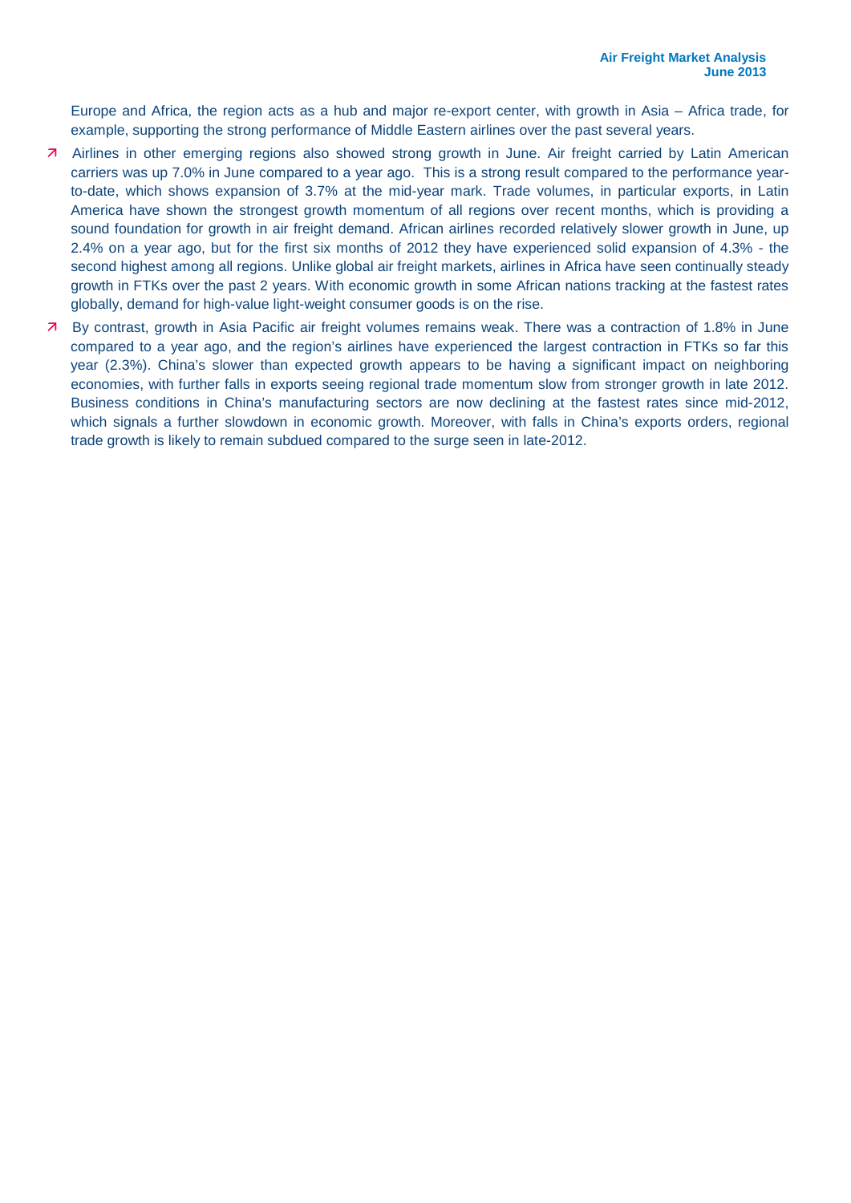Europe and Africa, the region acts as a hub and major re-export center, with growth in Asia – Africa trade, for example, supporting the strong performance of Middle Eastern airlines over the past several years.

- Airlines in other emerging regions also showed strong growth in June. Air freight carried by Latin American carriers was up 7.0% in June compared to a year ago. This is a strong result compared to the performance yearto-date, which shows expansion of 3.7% at the mid-year mark. Trade volumes, in particular exports, in Latin America have shown the strongest growth momentum of all regions over recent months, which is providing a sound foundation for growth in air freight demand. African airlines recorded relatively slower growth in June, up 2.4% on a year ago, but for the first six months of 2012 they have experienced solid expansion of 4.3% - the second highest among all regions. Unlike global air freight markets, airlines in Africa have seen continually steady growth in FTKs over the past 2 years. With economic growth in some African nations tracking at the fastest rates globally, demand for high-value light-weight consumer goods is on the rise.
- By contrast, growth in Asia Pacific air freight volumes remains weak. There was a contraction of 1.8% in June compared to a year ago, and the region's airlines have experienced the largest contraction in FTKs so far this year (2.3%). China's slower than expected growth appears to be having a significant impact on neighboring economies, with further falls in exports seeing regional trade momentum slow from stronger growth in late 2012. Business conditions in China's manufacturing sectors are now declining at the fastest rates since mid-2012, which signals a further slowdown in economic growth. Moreover, with falls in China's exports orders, regional trade growth is likely to remain subdued compared to the surge seen in late-2012.